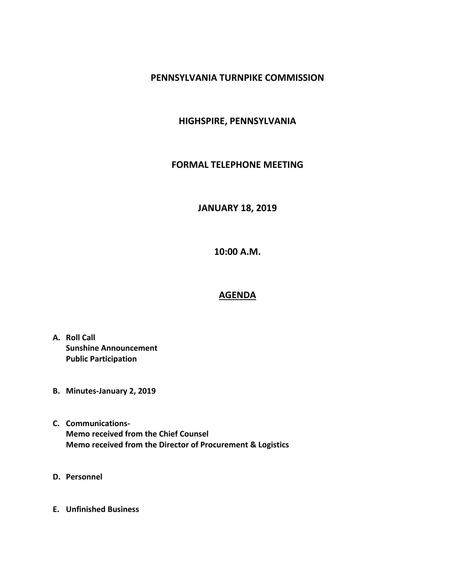## **PENNSYLVANIA TURNPIKE COMMISSION**

## **HIGHSPIRE, PENNSYLVANIA**

#### **FORMAL TELEPHONE MEETING**

# **JANUARY 18, 2019**

**10:00 A.M.**

## **AGENDA**

- **A. Roll Call Sunshine Announcement Public Participation**
- **B. Minutes-January 2, 2019**
- **C. Communications-Memo received from the Chief Counsel Memo received from the Director of Procurement & Logistics**
- **D. Personnel**
- **E. Unfinished Business**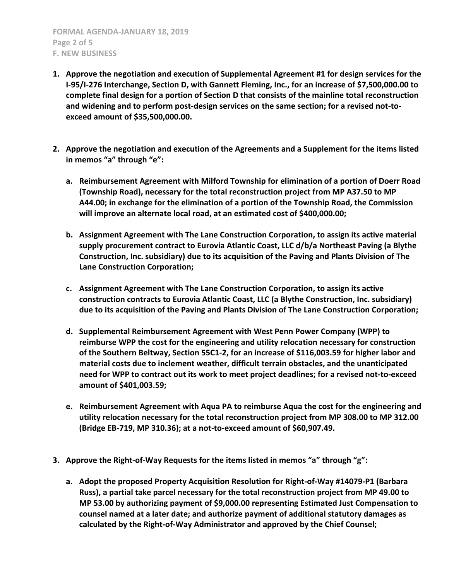**FORMAL AGENDA-JANUARY 18, 2019 Page 2 of 5 F. NEW BUSINESS**

- **1. Approve the negotiation and execution of Supplemental Agreement #1 for design services for the I-95/I-276 Interchange, Section D, with Gannett Fleming, Inc., for an increase of \$7,500,000.00 to complete final design for a portion of Section D that consists of the mainline total reconstruction and widening and to perform post-design services on the same section; for a revised not-toexceed amount of \$35,500,000.00.**
- **2. Approve the negotiation and execution of the Agreements and a Supplement for the items listed in memos "a" through "e":**
	- **a. Reimbursement Agreement with Milford Township for elimination of a portion of Doerr Road (Township Road), necessary for the total reconstruction project from MP A37.50 to MP A44.00; in exchange for the elimination of a portion of the Township Road, the Commission will improve an alternate local road, at an estimated cost of \$400,000.00;**
	- **b. Assignment Agreement with The Lane Construction Corporation, to assign its active material supply procurement contract to Eurovia Atlantic Coast, LLC d/b/a Northeast Paving (a Blythe Construction, Inc. subsidiary) due to its acquisition of the Paving and Plants Division of The Lane Construction Corporation;**
	- **c. Assignment Agreement with The Lane Construction Corporation, to assign its active construction contracts to Eurovia Atlantic Coast, LLC (a Blythe Construction, Inc. subsidiary) due to its acquisition of the Paving and Plants Division of The Lane Construction Corporation;**
	- **d. Supplemental Reimbursement Agreement with West Penn Power Company (WPP) to reimburse WPP the cost for the engineering and utility relocation necessary for construction of the Southern Beltway, Section 55C1-2, for an increase of \$116,003.59 for higher labor and material costs due to inclement weather, difficult terrain obstacles, and the unanticipated need for WPP to contract out its work to meet project deadlines; for a revised not-to-exceed amount of \$401,003.59;**
	- **e. Reimbursement Agreement with Aqua PA to reimburse Aqua the cost for the engineering and utility relocation necessary for the total reconstruction project from MP 308.00 to MP 312.00 (Bridge EB-719, MP 310.36); at a not-to-exceed amount of \$60,907.49.**
- **3. Approve the Right-of-Way Requests for the items listed in memos "a" through "g":**
	- **a. Adopt the proposed Property Acquisition Resolution for Right-of-Way #14079-P1 (Barbara Russ), a partial take parcel necessary for the total reconstruction project from MP 49.00 to MP 53.00 by authorizing payment of \$9,000.00 representing Estimated Just Compensation to counsel named at a later date; and authorize payment of additional statutory damages as calculated by the Right-of-Way Administrator and approved by the Chief Counsel;**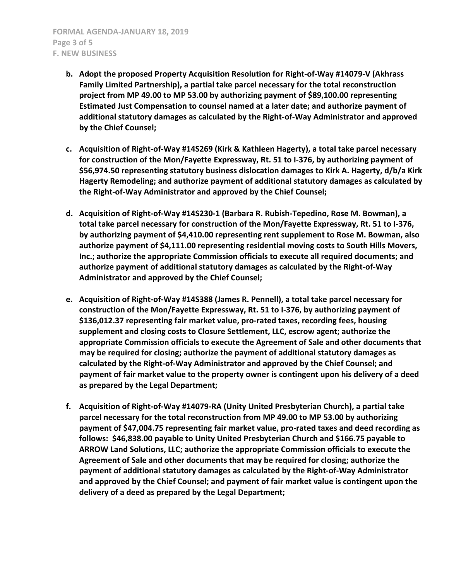- **b. Adopt the proposed Property Acquisition Resolution for Right-of-Way #14079-V (Akhrass Family Limited Partnership), a partial take parcel necessary for the total reconstruction project from MP 49.00 to MP 53.00 by authorizing payment of \$89,100.00 representing Estimated Just Compensation to counsel named at a later date; and authorize payment of additional statutory damages as calculated by the Right-of-Way Administrator and approved by the Chief Counsel;**
- **c. Acquisition of Right-of-Way #14S269 (Kirk & Kathleen Hagerty), a total take parcel necessary for construction of the Mon/Fayette Expressway, Rt. 51 to I-376, by authorizing payment of \$56,974.50 representing statutory business dislocation damages to Kirk A. Hagerty, d/b/a Kirk Hagerty Remodeling; and authorize payment of additional statutory damages as calculated by the Right-of-Way Administrator and approved by the Chief Counsel;**
- **d. Acquisition of Right-of-Way #14S230-1 (Barbara R. Rubish-Tepedino, Rose M. Bowman), a total take parcel necessary for construction of the Mon/Fayette Expressway, Rt. 51 to I-376, by authorizing payment of \$4,410.00 representing rent supplement to Rose M. Bowman, also authorize payment of \$4,111.00 representing residential moving costs to South Hills Movers, Inc.; authorize the appropriate Commission officials to execute all required documents; and authorize payment of additional statutory damages as calculated by the Right-of-Way Administrator and approved by the Chief Counsel;**
- **e. Acquisition of Right-of-Way #14S388 (James R. Pennell), a total take parcel necessary for construction of the Mon/Fayette Expressway, Rt. 51 to I-376, by authorizing payment of \$136,012.37 representing fair market value, pro-rated taxes, recording fees, housing supplement and closing costs to Closure Settlement, LLC, escrow agent; authorize the appropriate Commission officials to execute the Agreement of Sale and other documents that may be required for closing; authorize the payment of additional statutory damages as calculated by the Right-of-Way Administrator and approved by the Chief Counsel; and payment of fair market value to the property owner is contingent upon his delivery of a deed as prepared by the Legal Department;**
- **f. Acquisition of Right-of-Way #14079-RA (Unity United Presbyterian Church), a partial take parcel necessary for the total reconstruction from MP 49.00 to MP 53.00 by authorizing payment of \$47,004.75 representing fair market value, pro-rated taxes and deed recording as follows: \$46,838.00 payable to Unity United Presbyterian Church and \$166.75 payable to ARROW Land Solutions, LLC; authorize the appropriate Commission officials to execute the Agreement of Sale and other documents that may be required for closing; authorize the payment of additional statutory damages as calculated by the Right-of-Way Administrator and approved by the Chief Counsel; and payment of fair market value is contingent upon the delivery of a deed as prepared by the Legal Department;**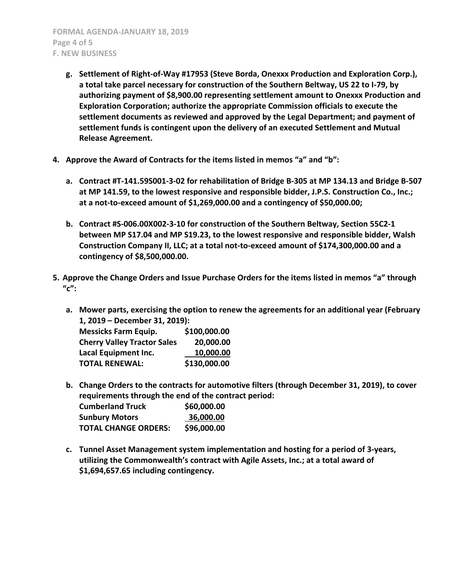- **g. Settlement of Right-of-Way #17953 (Steve Borda, Onexxx Production and Exploration Corp.), a total take parcel necessary for construction of the Southern Beltway, US 22 to I-79, by authorizing payment of \$8,900.00 representing settlement amount to Onexxx Production and Exploration Corporation; authorize the appropriate Commission officials to execute the settlement documents as reviewed and approved by the Legal Department; and payment of settlement funds is contingent upon the delivery of an executed Settlement and Mutual Release Agreement.**
- **4. Approve the Award of Contracts for the items listed in memos "a" and "b":**
	- **a. Contract #T-141.59S001-3-02 for rehabilitation of Bridge B-305 at MP 134.13 and Bridge B-507 at MP 141.59, to the lowest responsive and responsible bidder, J.P.S. Construction Co., Inc.; at a not-to-exceed amount of \$1,269,000.00 and a contingency of \$50,000.00;**
	- **b. Contract #S-006.00X002-3-10 for construction of the Southern Beltway, Section 55C2-1 between MP S17.04 and MP S19.23, to the lowest responsive and responsible bidder, Walsh Construction Company II, LLC; at a total not-to-exceed amount of \$174,300,000.00 and a contingency of \$8,500,000.00.**
- **5. Approve the Change Orders and Issue Purchase Orders for the items listed in memos "a" through "c":**
	- **a. Mower parts, exercising the option to renew the agreements for an additional year (February 1, 2019 – December 31, 2019):**

| <b>Messicks Farm Equip.</b>        | \$100,000.00 |
|------------------------------------|--------------|
| <b>Cherry Valley Tractor Sales</b> | 20,000.00    |
| Lacal Equipment Inc.               | 10,000.00    |
| <b>TOTAL RENEWAL:</b>              | \$130,000.00 |

- **b. Change Orders to the contracts for automotive filters (through December 31, 2019), to cover requirements through the end of the contract period: Cumberland Truck \$60,000.00 Sunbury Motors 36,000.00 TOTAL CHANGE ORDERS: \$96,000.00**
- **c. Tunnel Asset Management system implementation and hosting for a period of 3-years, utilizing the Commonwealth's contract with Agile Assets, Inc.; at a total award of \$1,694,657.65 including contingency.**